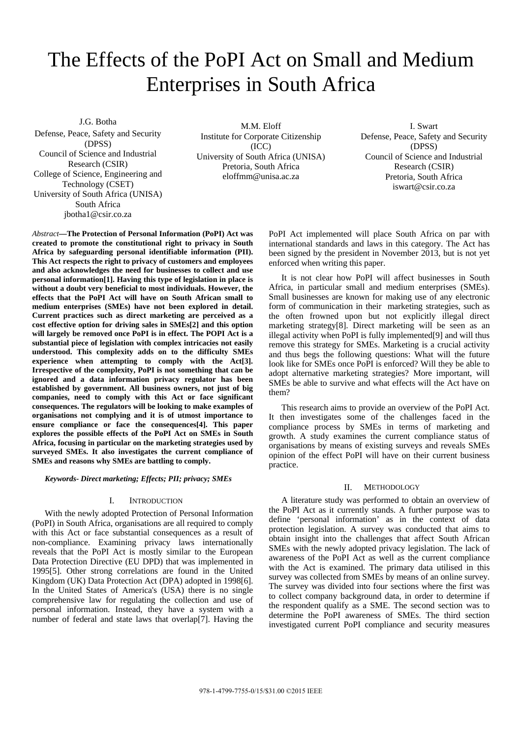# The Effects of the PoPI Act on Small and Medium Enterprises in South Africa

J.G. Botha Defense, Peace, Safety and Security (DPSS) Council of Science and Industrial Research (CSIR) College of Science, Engineering and Technology (CSET) University of South Africa (UNISA) South Africa jbotha1@csir.co.za

M.M. Eloff Institute for Corporate Citizenship (ICC) University of South Africa (UNISA) Pretoria, South Africa eloffmm@unisa.ac.za

I. Swart Defense, Peace, Safety and Security (DPSS) Council of Science and Industrial Research (CSIR) Pretoria, South Africa iswart@csir.co.za

*Abstract***—The Protection of Personal Information (PoPI) Act was created to promote the constitutional right to privacy in South Africa by safeguarding personal identifiable information (PII). This Act respects the right to privacy of customers and employees and also acknowledges the need for businesses to collect and use personal information[1]. Having this type of legislation in place is without a doubt very beneficial to most individuals. However, the effects that the PoPI Act will have on South African small to medium enterprises (SMEs) have not been explored in detail. Current practices such as direct marketing are perceived as a cost effective option for driving sales in SMEs[2] and this option will largely be removed once PoPI is in effect. The POPI Act is a substantial piece of legislation with complex intricacies not easily understood. This complexity adds on to the difficulty SMEs experience when attempting to comply with the Act[3]. Irrespective of the complexity, PoPI is not something that can be ignored and a data information privacy regulator has been established by government. All business owners, not just of big companies, need to comply with this Act or face significant consequences. The regulators will be looking to make examples of organisations not complying and it is of utmost importance to ensure compliance or face the consequences[4]. This paper explores the possible effects of the PoPI Act on SMEs in South Africa, focusing in particular on the marketing strategies used by surveyed SMEs. It also investigates the current compliance of SMEs and reasons why SMEs are battling to comply.** 

*Keywords- Direct marketing; Effects; PII; privacy; SMEs* 

## I. INTRODUCTION

With the newly adopted Protection of Personal Information (PoPI) in South Africa, organisations are all required to comply with this Act or face substantial consequences as a result of non-compliance. Examining privacy laws internationally reveals that the PoPI Act is mostly similar to the European Data Protection Directive (EU DPD) that was implemented in 1995[5]. Other strong correlations are found in the United Kingdom (UK) Data Protection Act (DPA) adopted in 1998[6]. In the United States of America's (USA) there is no single comprehensive law for regulating the collection and use of personal information. Instead, they have a system with a number of federal and state laws that overlap[7]. Having the

PoPI Act implemented will place South Africa on par with international standards and laws in this category. The Act has been signed by the president in November 2013, but is not yet enforced when writing this paper.

It is not clear how PoPI will affect businesses in South Africa, in particular small and medium enterprises (SMEs). Small businesses are known for making use of any electronic form of communication in their marketing strategies, such as the often frowned upon but not explicitly illegal direct marketing strategy[8]. Direct marketing will be seen as an illegal activity when PoPI is fully implemented[9] and will thus remove this strategy for SMEs. Marketing is a crucial activity and thus begs the following questions: What will the future look like for SMEs once PoPI is enforced? Will they be able to adopt alternative marketing strategies? More important, will SMEs be able to survive and what effects will the Act have on them?

This research aims to provide an overview of the PoPI Act. It then investigates some of the challenges faced in the compliance process by SMEs in terms of marketing and growth. A study examines the current compliance status of organisations by means of existing surveys and reveals SMEs opinion of the effect PoPI will have on their current business practice.

#### II. METHODOLOGY

A literature study was performed to obtain an overview of the PoPI Act as it currently stands. A further purpose was to define 'personal information' as in the context of data protection legislation. A survey was conducted that aims to obtain insight into the challenges that affect South African SMEs with the newly adopted privacy legislation. The lack of awareness of the PoPI Act as well as the current compliance with the Act is examined. The primary data utilised in this survey was collected from SMEs by means of an online survey. The survey was divided into four sections where the first was to collect company background data, in order to determine if the respondent qualify as a SME. The second section was to determine the PoPI awareness of SMEs. The third section investigated current PoPI compliance and security measures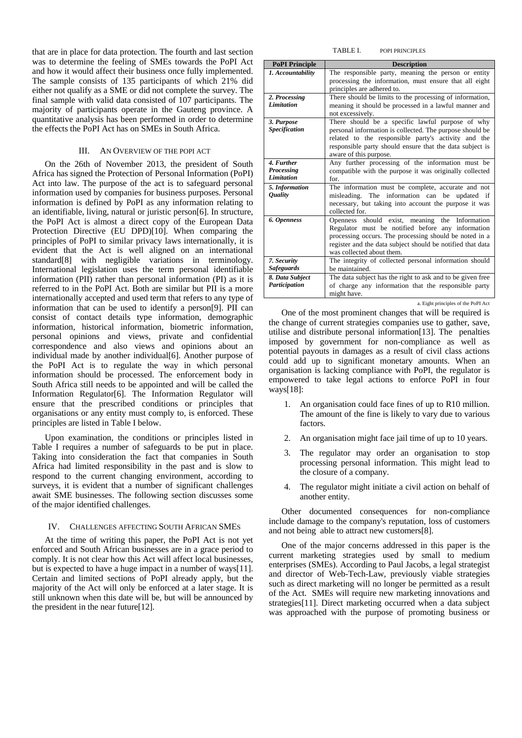that are in place for data protection. The fourth and last section was to determine the feeling of SMEs towards the PoPI Act and how it would affect their business once fully implemented. The sample consists of 135 participants of which 21% did either not qualify as a SME or did not complete the survey. The final sample with valid data consisted of 107 participants. The majority of participants operate in the Gauteng province. A quantitative analysis has been performed in order to determine the effects the PoPI Act has on SMEs in South Africa.

# III. AN OVERVIEW OF THE POPI ACT

On the 26th of November 2013, the president of South Africa has signed the Protection of Personal Information (PoPI) Act into law. The purpose of the act is to safeguard personal information used by companies for business purposes. Personal information is defined by PoPI as any information relating to an identifiable, living, natural or juristic person[6]. In structure, the PoPI Act is almost a direct copy of the European Data Protection Directive (EU DPD)[10]. When comparing the principles of PoPI to similar privacy laws internationally, it is evident that the Act is well aligned on an international standard[8] with negligible variations in terminology. International legislation uses the term personal identifiable information (PII) rather than personal information (PI) as it is referred to in the PoPI Act. Both are similar but PII is a more internationally accepted and used term that refers to any type of information that can be used to identify a person[9]. PII can consist of contact details type information, demographic information, historical information, biometric information, personal opinions and views, private and confidential correspondence and also views and opinions about an individual made by another individual[6]. Another purpose of the PoPI Act is to regulate the way in which personal information should be processed. The enforcement body in South Africa still needs to be appointed and will be called the Information Regulator[6]. The Information Regulator will ensure that the prescribed conditions or principles that organisations or any entity must comply to, is enforced. These principles are listed in Table I below.

Upon examination, the conditions or principles listed in Table I requires a number of safeguards to be put in place. Taking into consideration the fact that companies in South Africa had limited responsibility in the past and is slow to respond to the current changing environment, according to surveys, it is evident that a number of significant challenges await SME businesses. The following section discusses some of the major identified challenges.

#### IV. CHALLENGES AFFECTING SOUTH AFRICAN SMES

At the time of writing this paper, the PoPI Act is not yet enforced and South African businesses are in a grace period to comply. It is not clear how this Act will affect local businesses, but is expected to have a huge impact in a number of ways[11]. Certain and limited sections of PoPI already apply, but the majority of the Act will only be enforced at a later stage. It is still unknown when this date will be, but will be announced by the president in the near future[12].

#### TABLE I. POPI PRINCIPLES

| <b>PoPI</b> Principle | <b>Description</b>                                                      |
|-----------------------|-------------------------------------------------------------------------|
| 1. Accountability     | The responsible party, meaning the person or entity                     |
|                       | processing the information, must ensure that all eight                  |
|                       | principles are adhered to.                                              |
| 2. Processing         | There should be limits to the processing of information,                |
| Limitation            | meaning it should be processed in a lawful manner and                   |
|                       | not excessively.                                                        |
| 3. Purpose            | There should be a specific lawful purpose of why                        |
| <b>Specification</b>  | personal information is collected. The purpose should be                |
|                       | related to the responsible party's activity and the                     |
|                       | responsible party should ensure that the data subject is                |
|                       | aware of this purpose.                                                  |
| 4. Further            | Any further processing of the information must be                       |
| Processing            | compatible with the purpose it was originally collected                 |
| <b>Limitation</b>     | for.                                                                    |
| 5. Information        | The information must be complete, accurate and not                      |
| <i><b>Quality</b></i> | misleading. The information can be<br>updated if                        |
|                       | necessary, but taking into account the purpose it was<br>collected for. |
| 6. Openness           | should exist, meaning<br>the Information<br><b>Openness</b>             |
|                       | Regulator must be notified before any information                       |
|                       | processing occurs. The processing should be noted in a                  |
|                       | register and the data subject should be notified that data              |
|                       | was collected about them.                                               |
| 7. Security           | The integrity of collected personal information should                  |
| <b>Safeguards</b>     | be maintained.                                                          |
| 8. Data Subject       | The data subject has the right to ask and to be given free              |
| Participation         | of charge any information that the responsible party                    |
|                       | might have.                                                             |

a. Eight principles of the PoPI Act

One of the most prominent changes that will be required is the change of current strategies companies use to gather, save, utilise and distribute personal information[13]. The penalties imposed by government for non-compliance as well as potential payouts in damages as a result of civil class actions could add up to significant monetary amounts. When an organisation is lacking compliance with PoPI, the regulator is empowered to take legal actions to enforce PoPI in four ways[18]:

- 1. An organisation could face fines of up to R10 million. The amount of the fine is likely to vary due to various factors.
- 2. An organisation might face jail time of up to 10 years.
- 3. The regulator may order an organisation to stop processing personal information. This might lead to the closure of a company.
- 4. The regulator might initiate a civil action on behalf of another entity.

Other documented consequences for non-compliance include damage to the company's reputation, loss of customers and not being able to attract new customers[8].

One of the major concerns addressed in this paper is the current marketing strategies used by small to medium enterprises (SMEs). According to Paul Jacobs, a legal strategist and director of Web-Tech-Law, previously viable strategies such as direct marketing will no longer be permitted as a result of the Act. SMEs will require new marketing innovations and strategies[11]. Direct marketing occurred when a data subject was approached with the purpose of promoting business or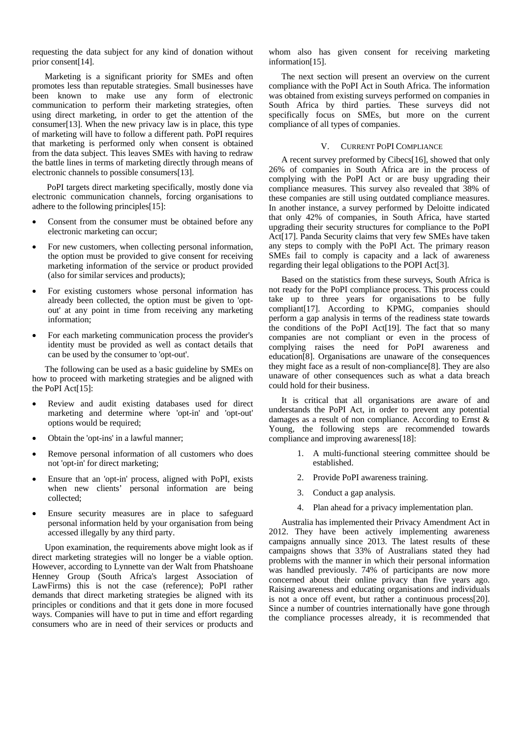requesting the data subject for any kind of donation without prior consent[14].

Marketing is a significant priority for SMEs and often promotes less than reputable strategies. Small businesses have been known to make use any form of electronic communication to perform their marketing strategies, often using direct marketing, in order to get the attention of the consumer[13]. When the new privacy law is in place, this type of marketing will have to follow a different path. PoPI requires that marketing is performed only when consent is obtained from the data subject. This leaves SMEs with having to redraw the battle lines in terms of marketing directly through means of electronic channels to possible consumers[13].

 PoPI targets direct marketing specifically, mostly done via electronic communication channels, forcing organisations to adhere to the following principles[15]:

- Consent from the consumer must be obtained before any electronic marketing can occur;
- For new customers, when collecting personal information, the option must be provided to give consent for receiving marketing information of the service or product provided (also for similar services and products);
- For existing customers whose personal information has already been collected, the option must be given to 'optout' at any point in time from receiving any marketing information;
- For each marketing communication process the provider's identity must be provided as well as contact details that can be used by the consumer to 'opt-out'.

The following can be used as a basic guideline by SMEs on how to proceed with marketing strategies and be aligned with the PoPI Act[15]:

- Review and audit existing databases used for direct marketing and determine where 'opt-in' and 'opt-out' options would be required;
- Obtain the 'opt-ins' in a lawful manner;
- Remove personal information of all customers who does not 'opt-in' for direct marketing;
- Ensure that an 'opt-in' process, aligned with PoPI, exists when new clients' personal information are being collected;
- Ensure security measures are in place to safeguard personal information held by your organisation from being accessed illegally by any third party.

Upon examination, the requirements above might look as if direct marketing strategies will no longer be a viable option. However, according to Lynnette van der Walt from Phatshoane Henney Group (South Africa's largest Association of LawFirms) this is not the case (reference); PoPI rather demands that direct marketing strategies be aligned with its principles or conditions and that it gets done in more focused ways. Companies will have to put in time and effort regarding consumers who are in need of their services or products and

whom also has given consent for receiving marketing information[15].

The next section will present an overview on the current compliance with the PoPI Act in South Africa. The information was obtained from existing surveys performed on companies in South Africa by third parties. These surveys did not specifically focus on SMEs, but more on the current compliance of all types of companies.

### V. CURRENT POPI COMPLIANCE

A recent survey preformed by Cibecs[16], showed that only 26% of companies in South Africa are in the process of complying with the PoPI Act or are busy upgrading their compliance measures. This survey also revealed that 38% of these companies are still using outdated compliance measures. In another instance, a survey performed by Deloitte indicated that only 42% of companies, in South Africa, have started upgrading their security structures for compliance to the PoPI Act<sup>[17]</sup>. Panda Security claims that very few SMEs have taken any steps to comply with the PoPI Act. The primary reason SMEs fail to comply is capacity and a lack of awareness regarding their legal obligations to the POPI Act[3].

Based on the statistics from these surveys, South Africa is not ready for the PoPI compliance process. This process could take up to three years for organisations to be fully compliant[17]. According to KPMG, companies should perform a gap analysis in terms of the readiness state towards the conditions of the PoPI Act[19]. The fact that so many companies are not compliant or even in the process of complying raises the need for PoPI awareness and education[8]. Organisations are unaware of the consequences they might face as a result of non-compliance[8]. They are also unaware of other consequences such as what a data breach could hold for their business.

It is critical that all organisations are aware of and understands the PoPI Act, in order to prevent any potential damages as a result of non compliance. According to Ernst & Young, the following steps are recommended towards compliance and improving awareness[18]:

- 1. A multi-functional steering committee should be established.
- 2. Provide PoPI awareness training.
- 3. Conduct a gap analysis.
- 4. Plan ahead for a privacy implementation plan.

Australia has implemented their Privacy Amendment Act in 2012. They have been actively implementing awareness campaigns annually since 2013. The latest results of these campaigns shows that 33% of Australians stated they had problems with the manner in which their personal information was handled previously. 74% of participants are now more concerned about their online privacy than five years ago. Raising awareness and educating organisations and individuals is not a once off event, but rather a continuous process[20]. Since a number of countries internationally have gone through the compliance processes already, it is recommended that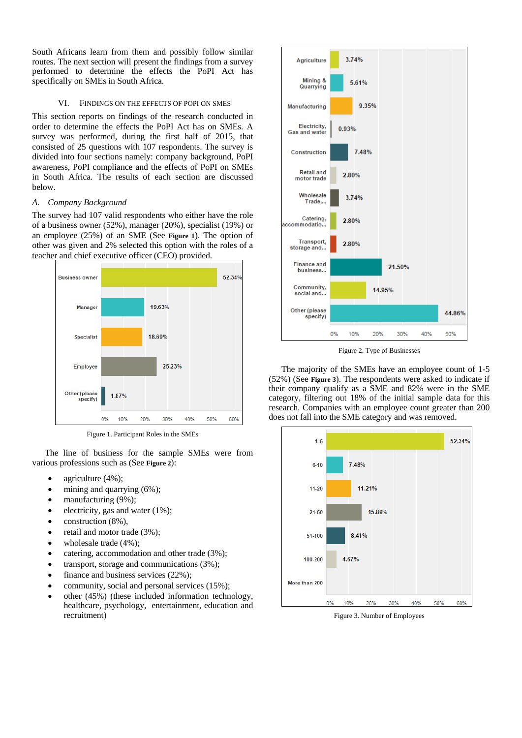South Africans learn from them and possibly follow similar routes. The next section will present the findings from a survey performed to determine the effects the PoPI Act has specifically on SMEs in South Africa.

# VI. FINDINGS ON THE EFFECTS OF POPI ON SMES

This section reports on findings of the research conducted in order to determine the effects the PoPI Act has on SMEs. A survey was performed, during the first half of 2015, that consisted of 25 questions with 107 respondents. The survey is divided into four sections namely: company background, PoPI awareness, PoPI compliance and the effects of PoPI on SMEs in South Africa. The results of each section are discussed below.

# *A. Company Background*

The survey had 107 valid respondents who either have the role of a business owner (52%), manager (20%), specialist (19%) or an employee (25%) of an SME (See **Figure 1**). The option of other was given and 2% selected this option with the roles of a teacher and chief executive officer (CEO) provided.



Figure 1. Participant Roles in the SMEs

The line of business for the sample SMEs were from various professions such as (See **Figure 2**):

- agriculture  $(4\%)$ ;
- mining and quarrying (6%);
- manufacturing (9%);
- electricity, gas and water (1%);
- construction (8%),
- retail and motor trade (3%);
- wholesale trade (4%);
- catering, accommodation and other trade (3%);
- transport, storage and communications (3%);
- finance and business services (22%);
- community, social and personal services (15%);
- other (45%) (these included information technology, healthcare, psychology, entertainment, education and recruitment)



Figure 2. Type of Businesses

The majority of the SMEs have an employee count of 1-5 (52%) (See **Figure 3**). The respondents were asked to indicate if their company qualify as a SME and 82% were in the SME category, filtering out 18% of the initial sample data for this research. Companies with an employee count greater than 200 does not fall into the SME category and was removed.



Figure 3. Number of Employees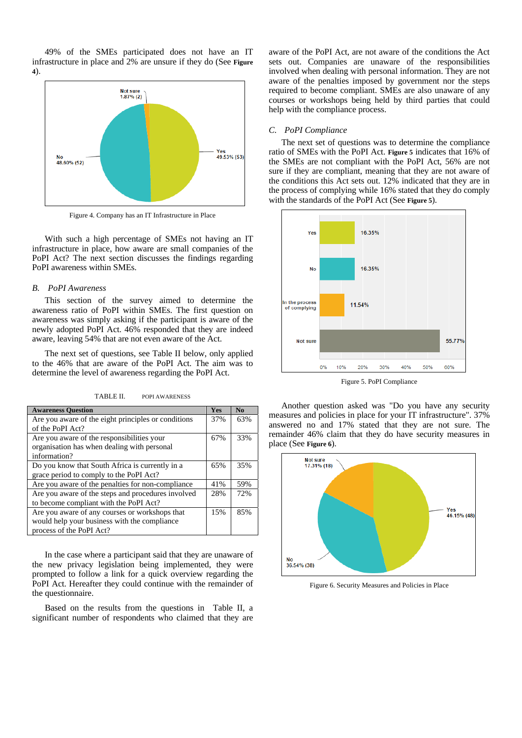49% of the SMEs participated does not have an IT infrastructure in place and 2% are unsure if they do (See **Figure 4**).



Figure 4. Company has an IT Infrastructure in Place

With such a high percentage of SMEs not having an IT infrastructure in place, how aware are small companies of the PoPI Act? The next section discusses the findings regarding PoPI awareness within SMEs.

### *B. PoPI Awareness*

This section of the survey aimed to determine the awareness ratio of PoPI within SMEs. The first question on awareness was simply asking if the participant is aware of the newly adopted PoPI Act. 46% responded that they are indeed aware, leaving 54% that are not even aware of the Act.

The next set of questions, see Table II below, only applied to the 46% that are aware of the PoPI Act. The aim was to determine the level of awareness regarding the PoPI Act.

TABLE II. POPI AWARENESS

| <b>Awareness Question</b>                           |  | N <sub>0</sub> |
|-----------------------------------------------------|--|----------------|
| Are you aware of the eight principles or conditions |  | 63%            |
| of the PoPI Act?                                    |  |                |
| Are you aware of the responsibilities your          |  | 33%            |
| organisation has when dealing with personal         |  |                |
| information?                                        |  |                |
| Do you know that South Africa is currently in a     |  | 35%            |
| grace period to comply to the PoPI Act?             |  |                |
| Are you aware of the penalties for non-compliance   |  | 59%            |
| Are you aware of the steps and procedures involved  |  | 72%            |
| to become compliant with the PoPI Act?              |  |                |
| Are you aware of any courses or workshops that      |  | 85%            |
| would help your business with the compliance        |  |                |
| process of the PoPI Act?                            |  |                |

In the case where a participant said that they are unaware of the new privacy legislation being implemented, they were prompted to follow a link for a quick overview regarding the PoPI Act. Hereafter they could continue with the remainder of the questionnaire.

Based on the results from the questions in Table II, a significant number of respondents who claimed that they are

aware of the PoPI Act, are not aware of the conditions the Act sets out. Companies are unaware of the responsibilities involved when dealing with personal information. They are not aware of the penalties imposed by government nor the steps required to become compliant. SMEs are also unaware of any courses or workshops being held by third parties that could help with the compliance process.

#### *C. PoPI Compliance*

The next set of questions was to determine the compliance ratio of SMEs with the PoPI Act. **Figure 5** indicates that 16% of the SMEs are not compliant with the PoPI Act, 56% are not sure if they are compliant, meaning that they are not aware of the conditions this Act sets out. 12% indicated that they are in the process of complying while 16% stated that they do comply with the standards of the PoPI Act (See **Figure 5**).



Figure 5. PoPI Compliance

Another question asked was "Do you have any security measures and policies in place for your IT infrastructure". 37% answered no and 17% stated that they are not sure. The remainder 46% claim that they do have security measures in place (See **Figure 6**).



Figure 6. Security Measures and Policies in Place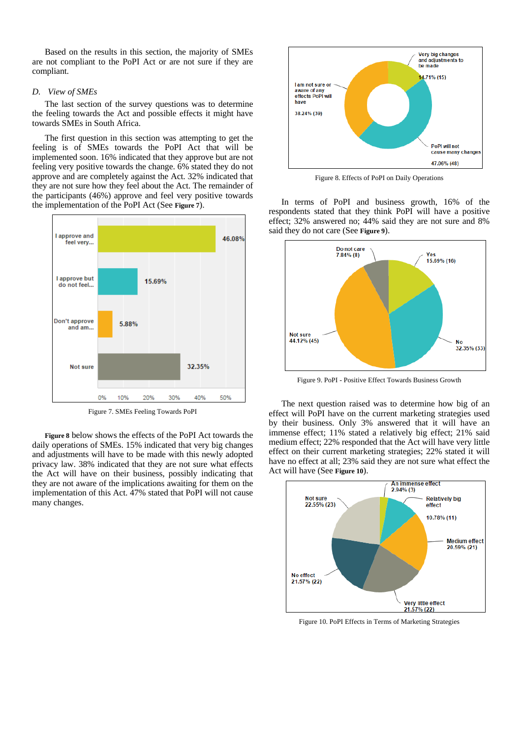Based on the results in this section, the majority of SMEs are not compliant to the PoPI Act or are not sure if they are compliant.

# *D. View of SMEs*

The last section of the survey questions was to determine the feeling towards the Act and possible effects it might have towards SMEs in South Africa.

The first question in this section was attempting to get the feeling is of SMEs towards the PoPI Act that will be implemented soon. 16% indicated that they approve but are not feeling very positive towards the change. 6% stated they do not approve and are completely against the Act. 32% indicated that they are not sure how they feel about the Act. The remainder of the participants (46%) approve and feel very positive towards the implementation of the PoPI Act (See **Figure 7**).



Figure 7. SMEs Feeling Towards PoPI

**Figure 8** below shows the effects of the PoPI Act towards the daily operations of SMEs. 15% indicated that very big changes and adjustments will have to be made with this newly adopted privacy law. 38% indicated that they are not sure what effects the Act will have on their business, possibly indicating that they are not aware of the implications awaiting for them on the implementation of this Act. 47% stated that PoPI will not cause many changes.



Figure 8. Effects of PoPI on Daily Operations

In terms of PoPI and business growth, 16% of the respondents stated that they think PoPI will have a positive effect; 32% answered no; 44% said they are not sure and 8% said they do not care (See **Figure 9**).



Figure 9. PoPI - Positive Effect Towards Business Growth

The next question raised was to determine how big of an effect will PoPI have on the current marketing strategies used by their business. Only 3% answered that it will have an immense effect; 11% stated a relatively big effect; 21% said medium effect; 22% responded that the Act will have very little effect on their current marketing strategies; 22% stated it will have no effect at all; 23% said they are not sure what effect the Act will have (See **Figure 10**).



Figure 10. PoPI Effects in Terms of Marketing Strategies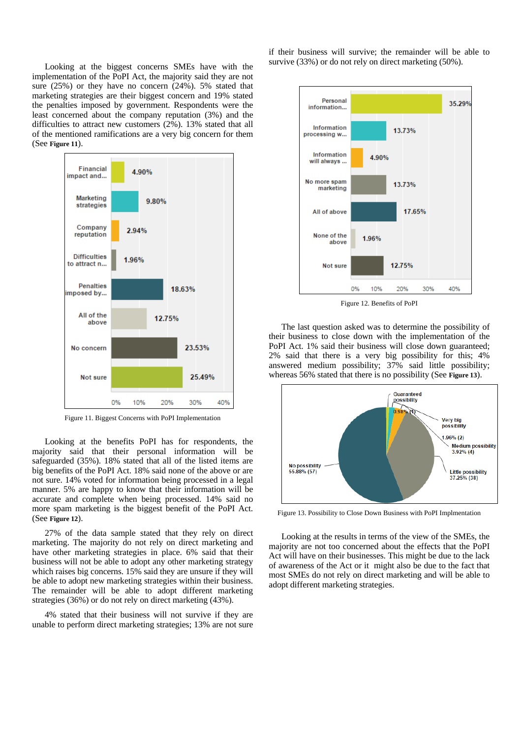Looking at the biggest concerns SMEs have with the implementation of the PoPI Act, the majority said they are not sure (25%) or they have no concern (24%). 5% stated that marketing strategies are their biggest concern and 19% stated the penalties imposed by government. Respondents were the least concerned about the company reputation (3%) and the difficulties to attract new customers (2%). 13% stated that all of the mentioned ramifications are a very big concern for them (See **Figure 11**).



Figure 11. Biggest Concerns with PoPI Implementation

Looking at the benefits PoPI has for respondents, the majority said that their personal information will be safeguarded (35%). 18% stated that all of the listed items are big benefits of the PoPI Act. 18% said none of the above or are not sure. 14% voted for information being processed in a legal manner. 5% are happy to know that their information will be accurate and complete when being processed. 14% said no more spam marketing is the biggest benefit of the PoPI Act. (See **Figure 12**).

27% of the data sample stated that they rely on direct marketing. The majority do not rely on direct marketing and have other marketing strategies in place. 6% said that their business will not be able to adopt any other marketing strategy which raises big concerns. 15% said they are unsure if they will be able to adopt new marketing strategies within their business. The remainder will be able to adopt different marketing strategies (36%) or do not rely on direct marketing (43%).

4% stated that their business will not survive if they are unable to perform direct marketing strategies; 13% are not sure if their business will survive; the remainder will be able to survive (33%) or do not rely on direct marketing (50%).



Figure 12. Benefits of PoPI

The last question asked was to determine the possibility of their business to close down with the implementation of the PoPI Act. 1% said their business will close down guaranteed; 2% said that there is a very big possibility for this; 4% answered medium possibility; 37% said little possibility; whereas 56% stated that there is no possibility (See **Figure 13**).



Figure 13. Possibility to Close Down Business with PoPI Implmentation

Looking at the results in terms of the view of the SMEs, the majority are not too concerned about the effects that the PoPI Act will have on their businesses. This might be due to the lack of awareness of the Act or it might also be due to the fact that most SMEs do not rely on direct marketing and will be able to adopt different marketing strategies.